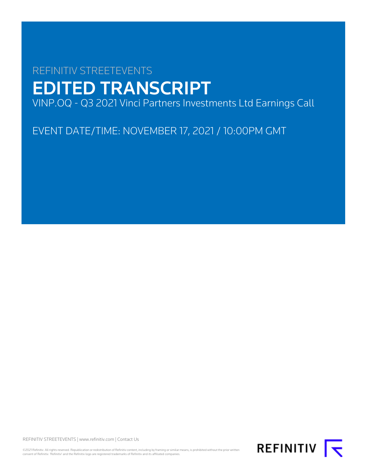# REFINITIV STREETEVENTS EDITED TRANSCRIPT VINP.OQ - Q3 2021 Vinci Partners Investments Ltd Earnings Call

EVENT DATE/TIME: NOVEMBER 17, 2021 / 10:00PM GMT

REFINITIV STREETEVENTS | [www.refinitiv.com](https://www.refinitiv.com/) | [Contact Us](https://www.refinitiv.com/en/contact-us)

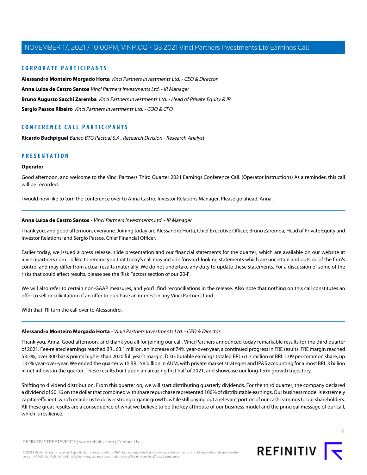## **CORPORATE PARTICIPANTS**

**[Alessandro Monteiro Morgado Horta](#page-1-0)** Vinci Partners Investments Ltd. - CEO & Director **[Anna Luiza de Castro Santos](#page-1-1)** Vinci Partners Investments Ltd. - IR Manager **[Bruno Augusto Sacchi Zaremba](#page-3-0)** Vinci Partners Investments Ltd. - Head of Private Equity & IR **[Sergio Passos Ribeiro](#page-5-0)** Vinci Partners Investments Ltd. - COO & CFO

## **CONFERENCE CALL PARTICIPANTS**

**[Ricardo Buchpiguel](#page-6-0)** Banco BTG Pactual S.A., Research Division - Research Analyst

## **PRESENTATION**

## **Operator**

Good afternoon, and welcome to the Vinci Partners Third Quarter 2021 Earnings Conference Call. (Operator Instructions) As a reminder, this call will be recorded.

<span id="page-1-1"></span>I would now like to turn the conference over to Anna Castro, Investor Relations Manager. Please go ahead, Anna.

## **Anna Luiza de Castro Santos** - Vinci Partners Investments Ltd. - IR Manager

Thank you, and good afternoon, everyone. Joining today are Alessandro Horta, Chief Executive Officer; Bruno Zaremba, Head of Private Equity and Investor Relations; and Sergio Passos, Chief Financial Officer.

Earlier today, we issued a press release, slide presentation and our financial statements for the quarter, which are available on our website at ir.vincipartners.com. I'd like to remind you that today's call may include forward-looking statements which are uncertain and outside of the firm's control and may differ from actual results materially. We do not undertake any duty to update these statements. For a discussion of some of the risks that could affect results, please see the Risk Factors section of our 20-F.

<span id="page-1-0"></span>We will also refer to certain non-GAAP measures, and you'll find reconciliations in the release. Also note that nothing on this call constitutes an offer to sell or solicitation of an offer to purchase an interest in any Vinci Partners fund.

With that, I'll turn the call over to Alessandro.

#### **Alessandro Monteiro Morgado Horta** - Vinci Partners Investments Ltd. - CEO & Director

Thank you, Anna. Good afternoon, and thank you all for joining our call. Vinci Partners announced today remarkable results for the third quarter of 2021. Fee-related earnings reached BRL 63.1 million, an increase of 74% year-over-year, a continued progress in FRE results. FRE margin reached 53.5%, over 300 basis points higher than 2020 full year's margin. Distributable earnings totaled BRL 61.7 million or BRL 1.09 per common share, up 137% year-over-year. We ended the quarter with BRL 58 billion in AUM, with private market strategies and IP&S accounting for almost BRL 3 billion in net inflows in the quarter. These results built upon an amazing first half of 2021, and showcase our long-term growth trajectory.

Shifting to dividend distribution. From this quarter on, we will start distributing quarterly dividends. For the third quarter, the company declared a dividend of \$0.16 on the dollar that combined with share repurchase represented 100% of distributable earnings. Our business model is extremely capital-efficient, which enable us to deliver strong organic growth, while still paying out a relevant portion of our cash earnings to our shareholders. All these great results are a consequence of what we believe to be the key attribute of our business model and the principal message of our call, which is resilience.

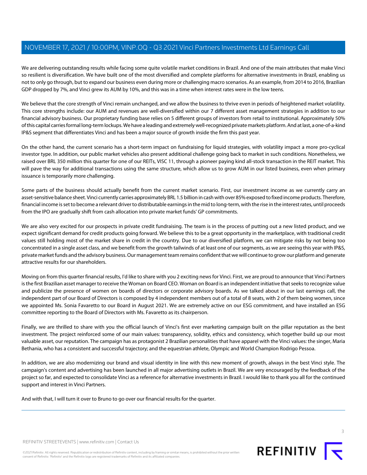We are delivering outstanding results while facing some quite volatile market conditions in Brazil. And one of the main attributes that make Vinci so resilient is diversification. We have built one of the most diversified and complete platforms for alternative investments in Brazil, enabling us not to only go through, but to expand our business even during more or challenging macro scenarios. As an example, from 2014 to 2016, Brazilian GDP dropped by 7%, and Vinci grew its AUM by 10%, and this was in a time when interest rates were in the low teens.

We believe that the core strength of Vinci remain unchanged, and we allow the business to thrive even in periods of heightened market volatility. This core strengths include: our AUM and revenues are well-diversified within our 7 different asset management strategies in addition to our financial advisory business. Our proprietary funding base relies on 5 different groups of investors from retail to institutional. Approximately 50% of this capital carries formal long-term lockups. We have a leading and extremely well-recognized private markets platform. And at last, a one-of-a-kind IP&S segment that differentiates Vinci and has been a major source of growth inside the firm this past year.

On the other hand, the current scenario has a short-term impact on fundraising for liquid strategies, with volatility impact a more pro-cyclical investor type. In addition, our public market vehicles also present additional challenge going back to market in such conditions. Nonetheless, we raised over BRL 350 million this quarter for one of our REITs, VISC 11, through a pioneer paying kind all-stock transaction in the REIT market. This will pave the way for additional transactions using the same structure, which allow us to grow AUM in our listed business, even when primary issuance is temporarily more challenging.

Some parts of the business should actually benefit from the current market scenario. First, our investment income as we currently carry an asset-sensitive balance sheet. Vinci currently carries approximately BRL 1.5 billion in cash with over 85% exposed to fixed income products. Therefore, financial income is set to become a relevant driver to distributable earnings in the mid to long-term, with the rise in the interest rates, until proceeds from the IPO are gradually shift from cash allocation into private market funds' GP commitments.

We are also very excited for our prospects in private credit fundraising. The team is in the process of putting out a new listed product, and we expect significant demand for credit products going forward. We believe this to be a great opportunity in the marketplace, with traditional credit values still holding most of the market share in credit in the country. Due to our diversified platform, we can mitigate risks by not being too concentrated in a single asset class, and we benefit from the growth tailwinds of at least one of our segments, as we are seeing this year with IP&S, private market funds and the advisory business. Our management team remains confident that we will continue to grow our platform and generate attractive results for our shareholders.

Moving on from this quarter financial results, I'd like to share with you 2 exciting news for Vinci. First, we are proud to announce that Vinci Partners is the first Brazilian asset manager to receive the Woman on Board CEO. Woman on Board is an independent initiative that seeks to recognize value and publicize the presence of women on boards of directors or corporate advisory boards. As we talked about in our last earnings call, the independent part of our Board of Directors is composed by 4 independent members out of a total of 8 seats, with 2 of them being women, since we appointed Ms. Sonia Favaretto to our Board in August 2021. We are extremely active on our ESG commitment, and have installed an ESG committee reporting to the Board of Directors with Ms. Favaretto as its chairperson.

Finally, we are thrilled to share with you the official launch of Vinci's first ever marketing campaign built on the pillar reputation as the best investment. The project reinforced some of our main values: transparency, solidity, ethics and consistency, which together build up our most valuable asset, our reputation. The campaign has as protagonist 2 Brazilian personalities that have apparel with the Vinci values: the singer, Maria Bethania, who has a consistent and successful trajectory; and the equestrian athlete, Olympic and World Champion Rodrigo Pessoa.

In addition, we are also modernizing our brand and visual identity in line with this new moment of growth, always in the best Vinci style. The campaign's content and advertising has been launched in all major advertising outlets in Brazil. We are very encouraged by the feedback of the project so far, and expected to consolidate Vinci as a reference for alternative investments in Brazil. I would like to thank you all for the continued support and interest in Vinci Partners.

And with that, I will turn it over to Bruno to go over our financial results for the quarter.



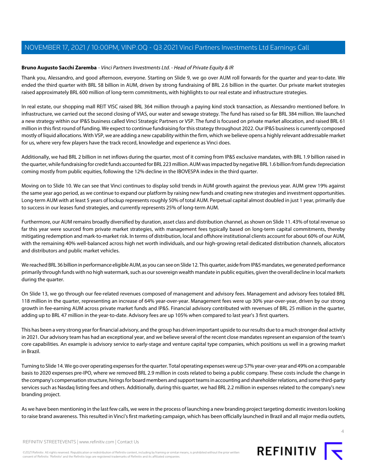## <span id="page-3-0"></span>**Bruno Augusto Sacchi Zaremba** - Vinci Partners Investments Ltd. - Head of Private Equity & IR

Thank you, Alessandro, and good afternoon, everyone. Starting on Slide 9, we go over AUM roll forwards for the quarter and year-to-date. We ended the third quarter with BRL 58 billion in AUM, driven by strong fundraising of BRL 2.6 billion in the quarter. Our private market strategies raised approximately BRL 600 million of long-term commitments, with highlights to our real estate and infrastructure strategies.

In real estate, our shopping mall REIT VISC raised BRL 364 million through a paying kind stock transaction, as Alessandro mentioned before. In infrastructure, we carried out the second closing of VIAS, our water and sewage strategy. The fund has raised so far BRL 384 million. We launched a new strategy within our IP&S business called Vinci Strategic Partners or VSP. The fund is focused on private market allocation, and raised BRL 61 million in this first round of funding. We expect to continue fundraising for this strategy throughout 2022. Our IP&S business is currently composed mostly of liquid allocations. With VSP, we are adding a new capability within the firm, which we believe opens a highly relevant addressable market for us, where very few players have the track record, knowledge and experience as Vinci does.

Additionally, we had BRL 2 billion in net inflows during the quarter, most of it coming from IP&S exclusive mandates, with BRL 1.9 billion raised in the quarter, while fundraising for credit funds accounted for BRL 223 million. AUM was impacted by negative BRL 1.6 billion from funds depreciation coming mostly from public equities, following the 12% decline in the IBOVESPA index in the third quarter.

Moving on to Slide 10. We can see that Vinci continues to display solid trends in AUM growth against the previous year. AUM grew 19% against the same year ago period, as we continue to expand our platform by raising new funds and creating new strategies and investment opportunities. Long-term AUM with at least 5 years of lockup represents roughly 50% of total AUM. Perpetual capital almost doubled in just 1 year, primarily due to success in our leases fund strategies, and currently represents 25% of long-term AUM.

Furthermore, our AUM remains broadly diversified by duration, asset class and distribution channel, as shown on Slide 11. 43% of total revenue so far this year were sourced from private market strategies, with management fees typically based on long-term capital commitments, thereby mitigating redemption and mark-to-market risk. In terms of distribution, local and offshore institutional clients account for about 60% of our AUM, with the remaining 40% well-balanced across high net worth individuals, and our high-growing retail dedicated distribution channels, allocators and distributors and public market vehicles.

We reached BRL 36 billion in performance eligible AUM, as you can see on Slide 12. This quarter, aside from IP&S mandates, we generated performance primarily through funds with no high watermark, such as our sovereign wealth mandate in public equities, given the overall decline in local markets during the quarter.

On Slide 13, we go through our fee-related revenues composed of management and advisory fees. Management and advisory fees totaled BRL 118 million in the quarter, representing an increase of 64% year-over-year. Management fees were up 30% year-over-year, driven by our strong growth in fee-earning AUM across private market funds and IP&S. Financial advisory contributed with revenues of BRL 25 million in the quarter, adding up to BRL 47 million in the year-to-date. Advisory fees are up 105% when compared to last year's 3 first quarters.

This has been a very strong year for financial advisory, and the group has driven important upside to our results due to a much stronger deal activity in 2021. Our advisory team has had an exceptional year, and we believe several of the recent close mandates represent an expansion of the team's core capabilities. An example is advisory service to early-stage and venture capital type companies, which positions us well in a growing market in Brazil.

Turning to Slide 14. We go over operating expenses for the quarter. Total operating expenses were up 57% year-over-year and 49% on a comparable basis to 2020 expenses pre-IPO, where we removed BRL 2.9 million in costs related to being a public company. These costs include the change in the company's compensation structure, hirings for board members and support teams in accounting and shareholder relations, and some third-party services such as Nasdaq listing fees and others. Additionally, during this quarter, we had BRL 2.2 million in expenses related to the company's new branding project.

As we have been mentioning in the last few calls, we were in the process of launching a new branding project targeting domestic investors looking to raise brand awareness. This resulted in Vinci's first marketing campaign, which has been officially launched in Brazil and all major media outlets,

REFINITIV STREETEVENTS | [www.refinitiv.com](https://www.refinitiv.com/) | [Contact Us](https://www.refinitiv.com/en/contact-us)

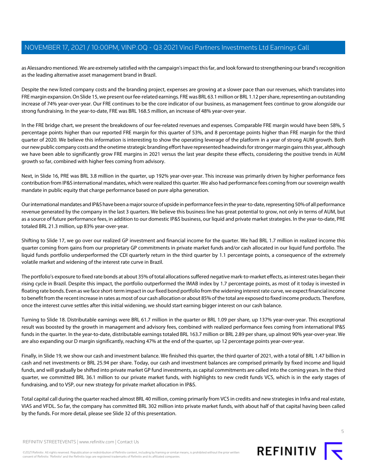as Alessandro mentioned. We are extremely satisfied with the campaign's impact this far, and look forward to strengthening our brand's recognition as the leading alternative asset management brand in Brazil.

Despite the new listed company costs and the branding project, expenses are growing at a slower pace than our revenues, which translates into FRE margin expansion. On Slide 15, we present our fee-related earnings. FRE was BRL 63.1 million or BRL 1.12 per share, representing an outstanding increase of 74% year-over-year. Our FRE continues to be the core indicator of our business, as management fees continue to grow alongside our strong fundraising. In the year-to-date, FRE was BRL 168.5 million, an increase of 48% year-over-year.

In the FRE bridge chart, we present the breakdowns of our fee-related revenues and expenses. Comparable FRE margin would have been 58%, 5 percentage points higher than our reported FRE margin for this quarter of 53%, and 8 percentage points higher than FRE margin for the third quarter of 2020. We believe this information is interesting to show the operating leverage of the platform in a year of strong AUM growth. Both our new public company costs and the onetime strategic branding effort have represented headwinds for stronger margin gains this year, although we have been able to significantly grow FRE margins in 2021 versus the last year despite these effects, considering the positive trends in AUM growth so far, combined with higher fees coming from advisory.

Next, in Slide 16, PRE was BRL 3.8 million in the quarter, up 192% year-over-year. This increase was primarily driven by higher performance fees contribution from IP&S international mandates, which were realized this quarter. We also had performance fees coming from our sovereign wealth mandate in public equity that charge performance based on pure alpha generation.

Our international mandates and IP&S have been a major source of upside in performance fees in the year-to-date, representing 50% of all performance revenue generated by the company in the last 3 quarters. We believe this business line has great potential to grow, not only in terms of AUM, but as a source of future performance fees, in addition to our domestic IP&S business, our liquid and private market strategies. In the year-to-date, PRE totaled BRL 21.3 million, up 83% year-over-year.

Shifting to Slide 17, we go over our realized GP investment and financial income for the quarter. We had BRL 1.7 million in realized income this quarter coming from gains from our proprietary GP commitments in private market funds and/or cash allocated in our liquid fund portfolio. The liquid funds portfolio underperformed the CDI quarterly return in the third quarter by 1.1 percentage points, a consequence of the extremely volatile market and widening of the interest rate curve in Brazil.

The portfolio's exposure to fixed rate bonds at about 35% of total allocations suffered negative mark-to-market effects, as interest rates began their rising cycle in Brazil. Despite this impact, the portfolio outperformed the IMAB index by 1.7 percentage points, as most of it today is invested in floating rate bonds. Even as we face short-term impact in our fixed bond portfolio from the widening interest rate curve, we expect financial income to benefit from the recent increase in rates as most of our cash allocation or about 85% of the total are exposed to fixed income products. Therefore, once the interest curve settles after this initial widening, we should start earning bigger interest on our cash balance.

Turning to Slide 18. Distributable earnings were BRL 61.7 million in the quarter or BRL 1.09 per share, up 137% year-over-year. This exceptional result was boosted by the growth in management and advisory fees, combined with realized performance fees coming from international IP&S funds in the quarter. In the year-to-date, distributable earnings totaled BRL 163.7 million or BRL 2.89 per share, up almost 90% year-over-year. We are also expanding our D margin significantly, reaching 47% at the end of the quarter, up 12 percentage points year-over-year.

Finally, in Slide 19, we show our cash and investment balance. We finished this quarter, the third quarter of 2021, with a total of BRL 1.47 billion in cash and net investments or BRL 25.94 per share. Today, our cash and investment balances are comprised primarily by fixed income and liquid funds, and will gradually be shifted into private market GP fund investments, as capital commitments are called into the coming years. In the third quarter, we committed BRL 36.1 million to our private market funds, with highlights to new credit funds VCS, which is in the early stages of fundraising, and to VSP, our new strategy for private market allocation in IP&S.

Total capital call during the quarter reached almost BRL 40 million, coming primarily from VCS in credits and new strategies in Infra and real estate, VIAS and VFDL. So far, the company has committed BRL 302 million into private market funds, with about half of that capital having been called by the funds. For more detail, please see Slide 32 of this presentation.

REFINITIV STREETEVENTS | [www.refinitiv.com](https://www.refinitiv.com/) | [Contact Us](https://www.refinitiv.com/en/contact-us)

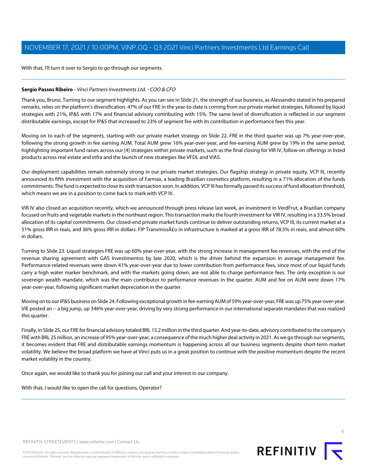With that, I'll turn it over to Sergio to go through our segments.

## <span id="page-5-0"></span>**Sergio Passos Ribeiro** - Vinci Partners Investments Ltd. - COO & CFO

Thank you, Bruno. Turning to our segment highlights. As you can see in Slide 21, the strength of our business, as Alessandro stated in his prepared remarks, relies on the platform's diversification. 47% of our FRE in the year-to-date is coming from our private market strategies, followed by liquid strategies with 21%, IP&S with 17% and financial advisory contributing with 15%. The same level of diversification is reflected in our segment distributable earnings, except for IP&S that increased to 23% of segment fee with its contribution in performance fees this year.

Moving on to each of the segments, starting with our private market strategy on Slide 22. FRE in the third quarter was up 7% year-over-year, following the strong growth in fee earning AUM. Total AUM grew 16% year-over-year, and fee-earning AUM grew by 19% in the same period, highlighting important fund raises across our [4] strategies within private markets, such as the final closing for VIR IV, follow-on offerings in listed products across real estate and infra and the launch of new strategies like VFDL and VIAS.

Our deployment capabilities remain extremely strong in our private market strategies. Our flagship strategy in private equity, VCP III, recently announced its fifth investment with the acquisition of Farmax, a leading Brazilian cosmetics platform, resulting in a 71% allocation of the funds commitments. The fund is expected to close its sixth transaction soon. In addition, VCP III has formally passed its success of fund allocation threshold, which means we are in a position to come back to mark with VCP IV.

VIR IV also closed an acquisition recently, which we announced through press release last week, an investment in VerdFrut, a Brazilian company focused on fruits and vegetable markets in the northeast region. This transaction marks the fourth investment for VIR IV, resulting in a 33.5% broad allocation of its capital commitments. Our closed-end private market funds continue to deliver outstanding returns, VCP III, its current market at a 51% gross IRR in reais, and 36% gross IRR in dollars. FIP Transmissão in infrastructure is marked at a gross IRR of 78.5% in reais, and almost 60% in dollars.

Turning to Slide 23. Liquid strategies FRE was up 60% year-over-year, with the strong increase in management fee revenues, with the end of the revenue sharing agreement with GAS Investimentos by late 2020, which is the driver behind the expansion in average management fee. Performance-related revenues were down 41% year-over-year due to lower contribution from performance fees, since most of our liquid funds carry a high water marker benchmark, and with the markets going down, are not able to charge performance fees. The only exception is our sovereign wealth mandate, which was the main contributor to performance revenues in the quarter. AUM and fee on AUM were down 17% year-over-year, following significant market depreciation in the quarter.

Moving on to our IP&S business on Slide 24. Following exceptional growth in fee-earning AUM of 59% year-over-year, FRE was up 75% year-over-year. VIE posted an -- a big jump, up 346% year-over-year, driving by very strong performance in our international separate mandates that was realized this quarter.

Finally, in Slide 25, our FRE for financial advisory totaled BRL 15.2 million in the third quarter. And year-to-date, advisory contributed to the company's FRE with BRL 25 million, an increase of 95% year-over-year, a consequence of the much higher deal activity in 2021. As we go through our segments, it becomes evident that FRE and distributable earnings momentum is happening across all our business segments despite short-term market volatility. We believe the broad platform we have at Vinci puts us in a great position to continue with the positive momentum despite the recent market volatility in the country.

Once again, we would like to thank you for joining our call and your interest in our company.

With that, I would like to open the call for questions. Operator?

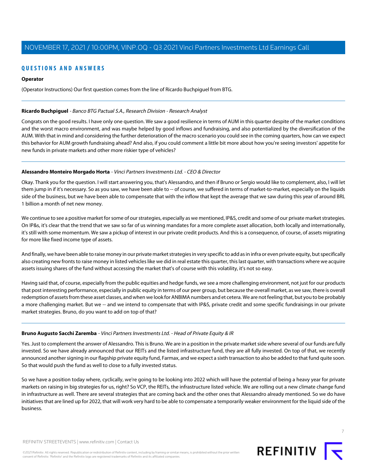## **QUESTIONS AND ANSWERS**

## **Operator**

(Operator Instructions) Our first question comes from the line of Ricardo Buchpiguel from BTG.

## <span id="page-6-0"></span>**Ricardo Buchpiguel** - Banco BTG Pactual S.A., Research Division - Research Analyst

Congrats on the good results. I have only one question. We saw a good resilience in terms of AUM in this quarter despite of the market conditions and the worst macro environment, and was maybe helped by good inflows and fundraising, and also potentialized by the diversification of the AUM. With that in mind and considering the further deterioration of the macro scenario you could see in the coming quarters, how can we expect this behavior for AUM growth fundraising ahead? And also, if you could comment a little bit more about how you're seeing investors' appetite for new funds in private markets and other more riskier type of vehicles?

## **Alessandro Monteiro Morgado Horta** - Vinci Partners Investments Ltd. - CEO & Director

Okay. Thank you for the question. I will start answering you, that's Alessandro, and then if Bruno or Sergio would like to complement, also, I will let them jump in if it's necessary. So as you saw, we have been able to -- of course, we suffered in terms of market-to-market, especially on the liquids side of the business, but we have been able to compensate that with the inflow that kept the average that we saw during this year of around BRL 1 billion a month of net new money.

We continue to see a positive market for some of our strategies, especially as we mentioned, IP&S, credit and some of our private market strategies. On IP&s, it's clear that the trend that we saw so far of us winning mandates for a more complete asset allocation, both locally and internationally, it's still with some momentum. We saw a pickup of interest in our private credit products. And this is a consequence, of course, of assets migrating for more like fixed income type of assets.

And finally, we have been able to raise money in our private market strategies in very specific to add as in infra or even private equity, but specifically also creating new fronts to raise money in listed vehicles like we did in real estate this quarter, this last quarter, with transactions where we acquire assets issuing shares of the fund without accessing the market that's of course with this volatility, it's not so easy.

Having said that, of course, especially from the public equities and hedge funds, we see a more challenging environment, not just for our products that post interesting performance, especially in public equity in terms of our peer group, but because the overall market, as we saw, there is overall redemption of assets from these asset classes, and when we look for ANBIMA numbers and et cetera. We are not feeling that, but you to be probably a more challenging market. But we -- and we intend to compensate that with IP&S, private credit and some specific fundraisings in our private market strategies. Bruno, do you want to add on top of that?

## **Bruno Augusto Sacchi Zaremba** - Vinci Partners Investments Ltd. - Head of Private Equity & IR

Yes. Just to complement the answer of Alessandro. This is Bruno. We are in a position in the private market side where several of our funds are fully invested. So we have already announced that our REITs and the listed infrastructure fund, they are all fully invested. On top of that, we recently announced another signing in our flagship private equity fund, Farmax, and we expect a sixth transaction to also be added to that fund quite soon. So that would push the fund as well to close to a fully invested status.

So we have a position today where, cyclically, we're going to be looking into 2022 which will have the potential of being a heavy year for private markets on raising in big strategies for us, right? So VCP, the REITs, the infrastructure listed vehicle. We are rolling out a new climate change fund in infrastructure as well. There are several strategies that are coming back and the other ones that Alessandro already mentioned. So we do have initiatives that are lined up for 2022, that will work very hard to be able to compensate a temporarily weaker environment for the liquid side of the business.



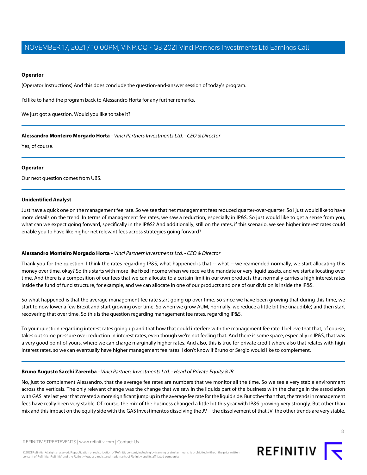## **Operator**

(Operator Instructions) And this does conclude the question-and-answer session of today's program.

I'd like to hand the program back to Alessandro Horta for any further remarks.

We just got a question. Would you like to take it?

**Alessandro Monteiro Morgado Horta** - Vinci Partners Investments Ltd. - CEO & Director

Yes, of course.

## **Operator**

Our next question comes from UBS.

## **Unidentified Analyst**

Just have a quick one on the management fee rate. So we see that net management fees reduced quarter-over-quarter. So I just would like to have more details on the trend. In terms of management fee rates, we saw a reduction, especially in IP&S. So just would like to get a sense from you, what can we expect going forward, specifically in the IP&S? And additionally, still on the rates, if this scenario, we see higher interest rates could enable you to have like higher net relevant fees across strategies going forward?

## **Alessandro Monteiro Morgado Horta** - Vinci Partners Investments Ltd. - CEO & Director

Thank you for the question. I think the rates regarding IP&S, what happened is that -- what -- we reamended normally, we start allocating this money over time, okay? So this starts with more like fixed income when we receive the mandate or very liquid assets, and we start allocating over time. And there is a composition of our fees that we can allocate to a certain limit in our own products that normally carries a high interest rates inside the fund of fund structure, for example, and we can allocate in one of our products and one of our division is inside the IP&S.

So what happened is that the average management fee rate start going up over time. So since we have been growing that during this time, we start to now lower a few Brexit and start growing over time. So when we grow AUM, normally, we reduce a little bit the (inaudible) and then start recovering that over time. So this is the question regarding management fee rates, regarding IP&S.

To your question regarding interest rates going up and that how that could interfere with the management fee rate. I believe that that, of course, takes out some pressure over reduction in interest rates, even though we're not feeling that. And there is some space, especially in IP&S, that was a very good point of yours, where we can charge marginally higher rates. And also, this is true for private credit where also that relates with high interest rates, so we can eventually have higher management fee rates. I don't know if Bruno or Sergio would like to complement.

## **Bruno Augusto Sacchi Zaremba** - Vinci Partners Investments Ltd. - Head of Private Equity & IR

No, just to complement Alessandro, that the average fee rates are numbers that we monitor all the time. So we see a very stable environment across the verticals. The only relevant change was the change that we saw in the liquids part of the business with the change in the association with GAS late last year that created a more significant jump up in the average fee rate for the liquid side. But other than that, the trends in management fees have really been very stable. Of course, the mix of the business changed a little bit this year with IP&S growing very strongly. But other than mix and this impact on the equity side with the GAS Investimentos dissolving the JV -- the dissolvement of that JV, the other trends are very stable.